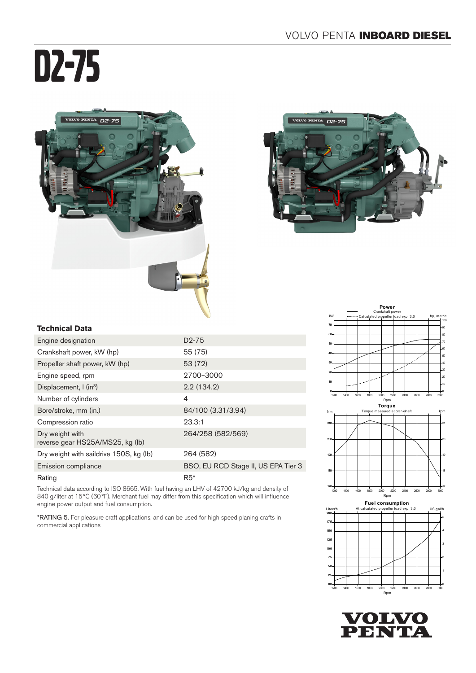# D2-75





# **Technical Data**

| Engine designation                                  | D <sub>2</sub> -75                  |
|-----------------------------------------------------|-------------------------------------|
| Crankshaft power, kW (hp)                           | 55 (75)                             |
| Propeller shaft power, kW (hp)                      | 53 (72)                             |
| Engine speed, rpm                                   | 2700-3000                           |
| Displacement, $\int$ (in <sup>3</sup> )             | 2.2(134.2)                          |
| Number of cylinders                                 | $\overline{4}$                      |
| Bore/stroke, mm (in.)                               | 84/100 (3.31/3.94)                  |
| Compression ratio                                   | 23.3:1                              |
| Dry weight with<br>reverse gear HS25A/MS25, kg (lb) | 264/258 (582/569)                   |
| Dry weight with saildrive 150S, kg (lb)             | 264 (582)                           |
| Emission compliance                                 | BSO, EU RCD Stage II, US EPA Tier 3 |
| Rating                                              | $R5*$                               |

Technical data according to ISO 8665. With fuel having an LHV of 42700 kJ/kg and density of 840 g/liter at 15°C (60°F). Merchant fuel may differ from this specification which will influence engine power output and fuel consumption.

\*RATING 5. For pleasure craft applications, and can be used for high speed planing crafts in commercial applications